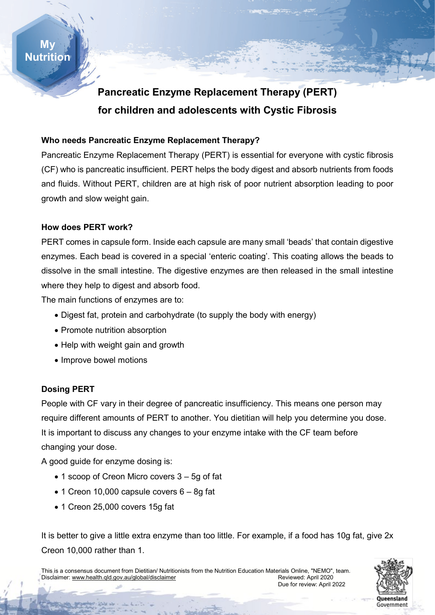

# **Pancreatic Enzyme Replacement Therapy (PERT) for children and adolescents with Cystic Fibrosis**

#### **Who needs Pancreatic Enzyme Replacement Therapy?**

Pancreatic Enzyme Replacement Therapy (PERT) is essential for everyone with cystic fibrosis (CF) who is pancreatic insufficient. PERT helps the body digest and absorb nutrients from foods and fluids. Without PERT, children are at high risk of poor nutrient absorption leading to poor growth and slow weight gain.

#### **How does PERT work?**

PERT comes in capsule form. Inside each capsule are many small 'beads' that contain digestive enzymes. Each bead is covered in a special 'enteric coating'. This coating allows the beads to dissolve in the small intestine. The digestive enzymes are then released in the small intestine where they help to digest and absorb food.

The main functions of enzymes are to:

- Digest fat, protein and carbohydrate (to supply the body with energy)
- Promote nutrition absorption
- Help with weight gain and growth
- Improve bowel motions

## **Dosing PERT**

People with CF vary in their degree of pancreatic insufficiency. This means one person may require different amounts of PERT to another. You dietitian will help you determine you dose. It is important to discuss any changes to your enzyme intake with the CF team before changing your dose.

A good guide for enzyme dosing is:

- 1 scoop of Creon Micro covers 3 5g of fat
- $\bullet$  1 Creon 10,000 capsule covers 6 8q fat
- 1 Creon 25,000 covers 15g fat

It is better to give a little extra enzyme than too little. For example, if a food has 10g fat, give 2x Creon 10,000 rather than 1.

This is a consensus document from Dietitian/ Nutritionists from the Nutrition Education Materials Online, "NEMO", team. Disclaimer[: www.health.qld.gov.au/global/disclaimer](http://www.health.qld.gov.au/global/disclaimer) and a state of the Reviewed: April 2020 Due for review: April 2022